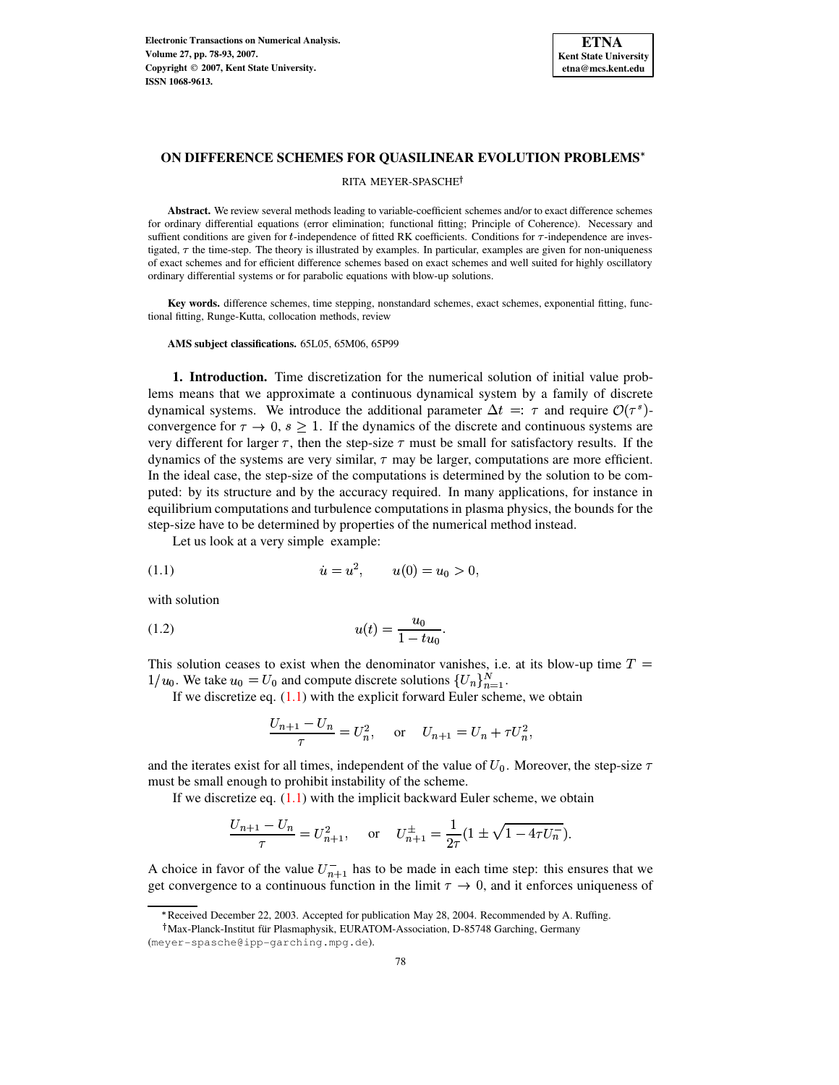

# **ON DIFFERENCE SCHEMES FOR QUASILINEAR EVOLUTION PROBLEMS**

## RITA MEYER-SPASCHE

**Abstract.** We review several methods leading to variable-coefficient schemes and/or to exact difference schemes for ordinary differential equations (error elimination; functional fitting; Principle of Coherence). Necessary and suffient conditions are given for  $t$ -independence of fitted RK coefficients. Conditions for  $\tau$ -independence are investigated,  $\tau$  the time-step. The theory is illustrated by examples. In particular, examples are given for non-uniqueness of exact schemes and for efficient difference schemes based on exact schemes and well suited for highly oscillatory ordinary differential systems or for parabolic equations with blow-up solutions.

**Key words.** difference schemes, time stepping, nonstandard schemes, exact schemes, exponential fitting, functional fitting, Runge-Kutta, collocation methods, review

**AMS subject classifications.** 65L05, 65M06, 65P99

**1. Introduction.** Time discretization for the numerical solution of initial value problems means that we approximate a continuous dynamical system by a family of discrete dynamical systems. We introduce the additional parameter  $\Delta t = \tau$  and require  $\mathcal{O}(\tau^s)$ convergence for  $\tau \to 0$ ,  $s \geq 1$ . If the dynamics of the discrete and continuous systems are very different for larger  $\tau$ , then the step-size  $\tau$  must be small for satisfactory results. If the dynamics of the systems are very similar,  $\tau$  may be larger, computations are more efficient. In the ideal case, the step-size of the computations is determined by the solution to be computed: by its structure and by the accuracy required. In many applications, for instance in equilibrium computations and turbulence computations in plasma physics, the bounds for the step-size have to be determined by properties of the numerical method instead.

<span id="page-0-0"></span>Let us look at a very simple example:

 ! "# \$&% (1.1)

with solution

(1.2) 
$$
u(t) = \frac{u_0}{1 - tu_0}.
$$

This solution ceases to exist when the denominator vanishes, i.e. at its blow-up time  $T =$  $1/u_0$ . We take  $u_0 = U_0$  and compute discrete solutions  $\{U_n\}_{n=1}^N$ .

If we discretize eq.  $(1.1)$  with the explicit forward Euler scheme, we obtain

<span id="page-0-1"></span>
$$
\frac{U_{n+1} - U_n}{\tau} = U_n^2, \quad \text{or} \quad U_{n+1} = U_n + \tau U_n^2,
$$

and the iterates exist for all times, independent of the value of  $U_0$ . Moreover, the step-size must be small enough to prohibit instability of the scheme.

If we discretize eq.  $(1.1)$  with the implicit backward Euler scheme, we obtain

$$
\frac{U_{n+1} - U_n}{\tau} = U_{n+1}^2, \quad \text{or} \quad U_{n+1}^{\pm} = \frac{1}{2\tau} (1 \pm \sqrt{1 - 4\tau U_n}).
$$

A choice in favor of the value  $U_{n+1}^-$  has to be made in each time step: this ensures that we get convergence to a continuous function in the limit  $\tau \to 0$ , and it enforces uniqueness of

<sup>\*</sup> Received December 22, 2003. Accepted for publication May 28, 2004. Recommended by A. Ruffing.

<sup>&</sup>lt;sup>†</sup> Max-Planck-Institut für Plasmaphysik, EURATOM-Association, D-85748 Garching, Germany

<sup>(</sup>meyer-spasche@ipp-garching.mpg.de).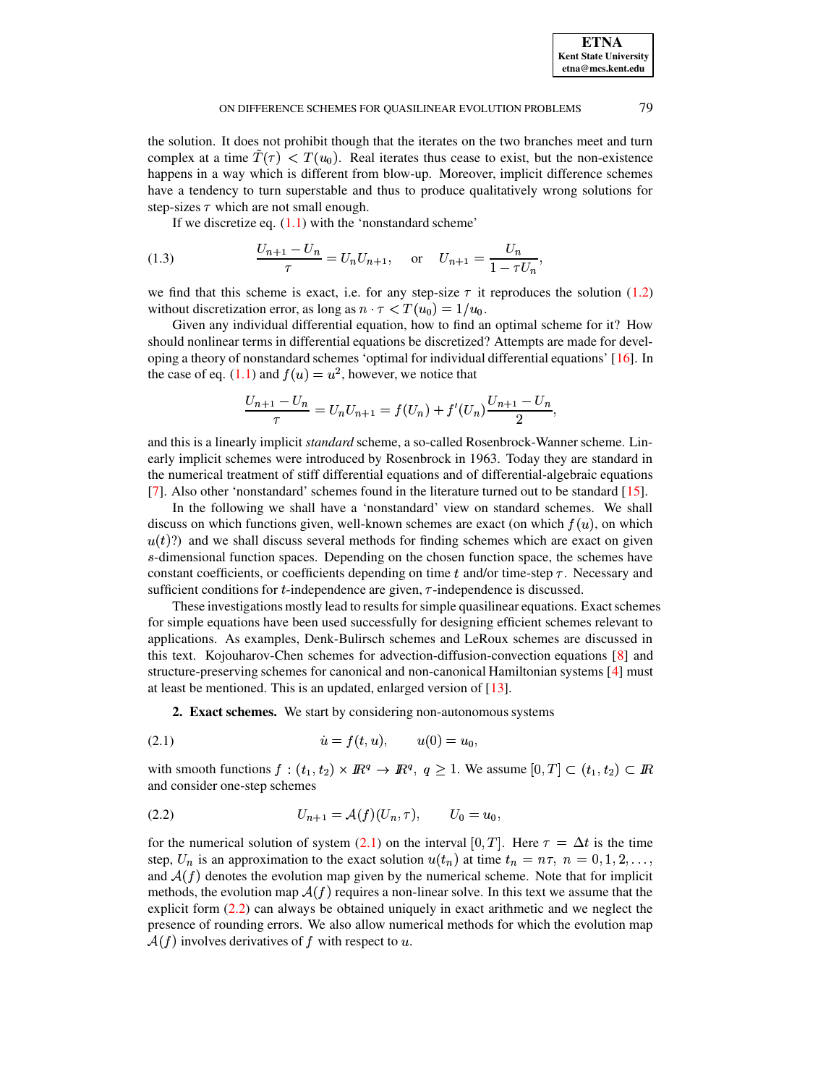the solution. It does not prohibit though that the iterates on the two branches meet and turn complex at a time  $T(\tau) < T(u_0)$ . Real iterates thus cease to exist, but the non-existence happens in a way which is different from blow-up. Moreover, implicit difference schemes have a tendency to turn superstable and thus to produce qualitatively wrong solutions for step-sizes  $\tau$  which are not small enough.

If we discretize eq.  $(1.1)$  with the 'nonstandard scheme'

<span id="page-1-2"></span>(1.3) 
$$
\frac{U_{n+1} - U_n}{\tau} = U_n U_{n+1}, \text{ or } U_{n+1} = \frac{U_n}{1 - \tau U_n},
$$

we find that this scheme is exact, i.e. for any step-size  $\tau$  it reproduces the solution [\(1.2\)](#page-0-1) without discretization error, as long as  $n \cdot \tau < T(u_0) = 1/u_0$ .

Given any individual differential equation, how to find an optimal scheme for it? How should nonlinear terms in differential equations be discretized? Attempts are made for developing a theory of nonstandard schemes 'optimal for individual differential equations' [\[16\]](#page-15-0). In the case of eq. [\(1.1\)](#page-0-0) and  $f(u) = u^2$ , however, we notice that

$$
\frac{U_{n+1} - U_n}{\tau} = U_n U_{n+1} = f(U_n) + f'(U_n) \frac{U_{n+1} - U_n}{2},
$$

and this is a linearly implicit *standard* scheme, a so-called Rosenbrock-Wanner scheme. Linearly implicit schemes were introduced by Rosenbrock in 1963. Today they are standard in the numerical treatment of stiff differential equations and of differential-algebraic equations [\[7\]](#page-14-0). Also other 'nonstandard' schemes found in the literature turned out to be standard [\[15\]](#page-15-1).

In the following we shall have a 'nonstandard' view on standard schemes. We shall discuss on which functions given, well-known schemes are exact (on which  $f(u)$ , on which  $u(t)$ ?) and we shall discuss several methods for finding schemes which are exact on given  $s$ -dimensional function spaces. Depending on the chosen function space, the schemes have constant coefficients, or coefficients depending on time  $t$  and/or time-step  $\tau$ . Necessary and sufficient conditions for  $t$ -independence are given,  $\tau$ -independence is discussed.

These investigations mostly lead to results for simple quasilinear equations. Exact schemes for simple equations have been used successfully for designing efficient schemes relevant to applications. As examples, Denk-Bulirsch schemes and LeRoux schemes are discussed in this text. Kojouharov-Chen schemes for advection-diffusion-convection equations [\[8\]](#page-14-1) and structure-preserving schemes for canonical and non-canonical Hamiltonian systems [\[4\]](#page-14-2) must at least be mentioned. This is an updated, enlarged version of [\[13\]](#page-15-2).

<span id="page-1-0"></span>**2. Exact schemes.** We start by considering non-autonomous systems

 Z[ ' ^# \$ (2.1)

with smooth functions  $f : (t_1, t_2) \times \mathbb{R}^q \to \mathbb{R}^q$ ,  $q \ge 1$ . We assume  $[0, T] \subset (t_1, t_2) \subset \mathbb{R}^q$  $\alpha \subset \mathbb{R}$ and consider one-step schemes

<span id="page-1-1"></span>(2.2) 
$$
U_{n+1} = \mathcal{A}(f)(U_n, \tau), \qquad U_0 = u_0,
$$

for the numerical solution of system [\(2.1\)](#page-1-0) on the interval [0, T]. Here  $\tau = \Delta t$  is the time step,  $U_n$  is an approximation to the exact solution  $u(t_n)$  at time  $t_n = n\tau$ ,  $n = 0, 1, 2, \ldots$ , and  $A(f)$  denotes the evolution map given by the numerical scheme. Note that for implicit methods, the evolution map  $\mathcal{A}(f)$  requires a non-linear solve. In this text we assume that the explicit form [\(2.2\)](#page-1-1) can always be obtained uniquely in exact arithmetic and we neglect the presence of rounding errors. We also allow numerical methods for which the evolution map  $A(f)$  involves derivatives of f with respect to u.

**ETNA Kent State University etna@mcs.kent.edu**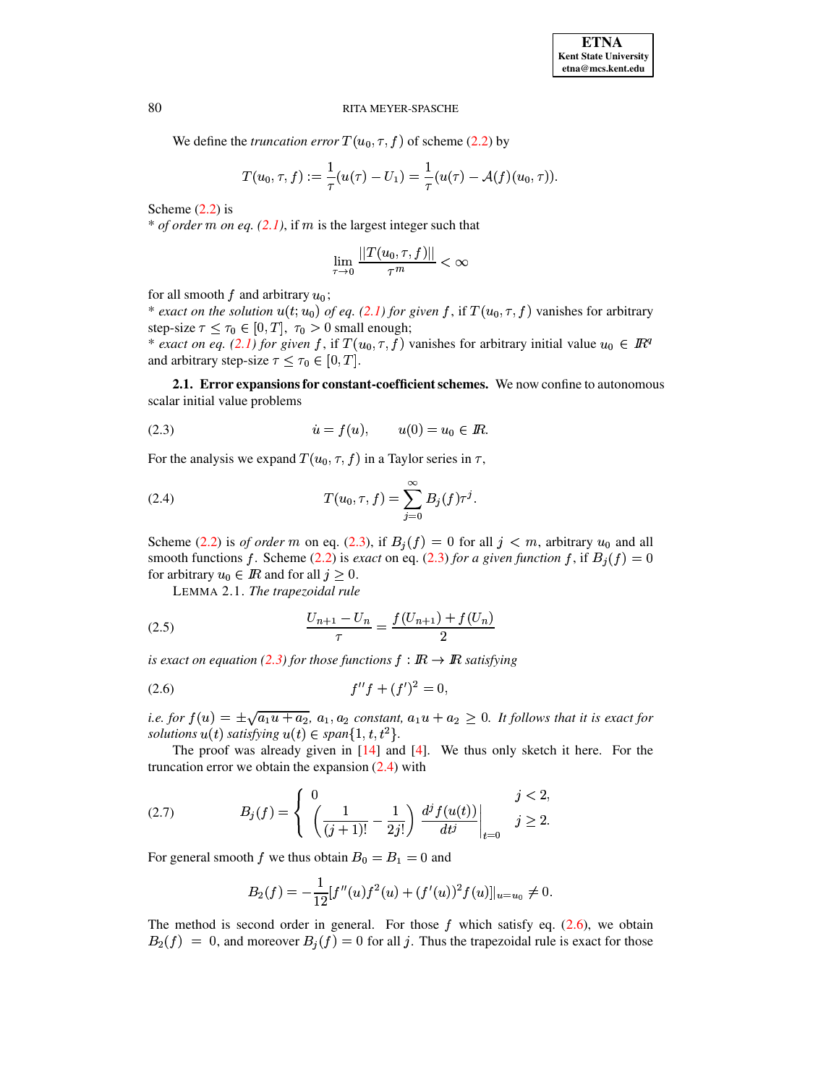We define the *truncation error*  $T(u_0, \tau, f)$  of scheme [\(2.2\)](#page-1-1) by

$$
T(u_0,\tau,f):=\frac{1}{\tau}(u(\tau)-U_1)=\frac{1}{\tau}(u(\tau)-\mathcal{A}(f)(u_0,\tau)).
$$

Scheme  $(2.2)$  is

\* *of order m on eq.*  $(2.1)$ , if *m* is the largest integer such that

$$
\lim_{\tau\to 0}\frac{||T(u_0,\tau,f)||}{\tau^m}<\infty
$$

for all smooth f and arbitrary  $u_0$ ;

\* *exact on* the *solution*  $u(t; u_0)$  *of eq.* [\(2.1\)](#page-1-0) *for given* f, if  $T(u_0, \tau, f)$  vanishes for arbitrary step-size  $\tau \leq \tau_0 \in [0, T]$ ,  $\tau_0 > 0$  small enough;

\* *exact on eq.* [\(2.1\)](#page-1-0) for given f, if  $T(u_0, \tau, f)$  vanishes for arbitrary initial value  $u_0 \in \mathbb{R}^q$ and arbitrary step-size  $\tau \leq \tau_0 \in [0, T]$ .

<span id="page-2-5"></span>**2.1. Error expansionsfor constant-coefficientschemes.** We now confine to autonomous scalar initial value problems

<span id="page-2-0"></span>(2.3) 
$$
\dot{u} = f(u), \qquad u(0) = u_0 \in I\!\!R.
$$

For the analysis we expand  $T(u_0, \tau, f)$  in a Taylor series in  $\tau$ ,

<span id="page-2-1"></span>(2.4) 
$$
T(u_0, \tau, f) = \sum_{j=0}^{\infty} B_j(f) \tau^j.
$$

Scheme [\(2.2\)](#page-1-1) is *of order* m on eq. [\(2.3\)](#page-2-0), if  $B_i(f) = 0$  for all  $j < m$ , arbitrary  $u_0$  and all smooth functions f. Scheme [\(2.2\)](#page-1-1) is *exact* on eq. [\(2.3\)](#page-2-0) *for a given function* f, if  $B_i(f) = 0$ for arbitrary  $u_0 \in I\!\!R$  and for all  $j \geq 0$ .

<span id="page-2-3"></span>LEMMA 2.1. *The trapezoidal rule*

(2.5) 
$$
\frac{U_{n+1} - U_n}{\tau} = \frac{f(U_{n+1}) + f(U_n)}{2}
$$

is exact on equation [\(2.3\)](#page-2-0) for those functions  $f: \mathbb{R} \to \mathbb{R}$  satisfying

<span id="page-2-2"></span>
$$
(2.6) \t f''f + (f')^2 = 0,
$$

*i.e. for*  $f(u) = \pm \sqrt{a_1 u + a_2}$ ,  $a_1, a_2$  *constant,*  $a_1 u + a_2 \ge 0$ . It follows that it is exact for solutions  $u(t)$  satisfying  $u(t) \in span\{1, t, t^2\}$ .

The proof was already given in [\[14\]](#page-15-3) and [\[4\]](#page-14-2). We thus only sketch it here. For the truncation error we obtain the expansion  $(2.4)$  with

<span id="page-2-4"></span>(2.7) 
$$
B_j(f) = \begin{cases} 0 & j < 2, \\ \left( \frac{1}{(j+1)!} - \frac{1}{2j!} \right) \left. \frac{d^j f(u(t))}{dt^j} \right|_{t=0} & j \ge 2. \end{cases}
$$

For general smooth f we thus obtain  $B_0 = B_1 = 0$  and

$$
B_2(f) = -\frac{1}{12}[f''(u)f^{2}(u) + (f'(u))^{2}f(u)]|_{u=u_0} \neq 0.
$$

The method is second order in general. For those  $f$  which satisfy eq. [\(2.6\)](#page-2-2), we obtain  $B_2(f) = 0$ , and moreover  $B_j(f) = 0$  for all j. Thus the trapezoidal rule is exact for those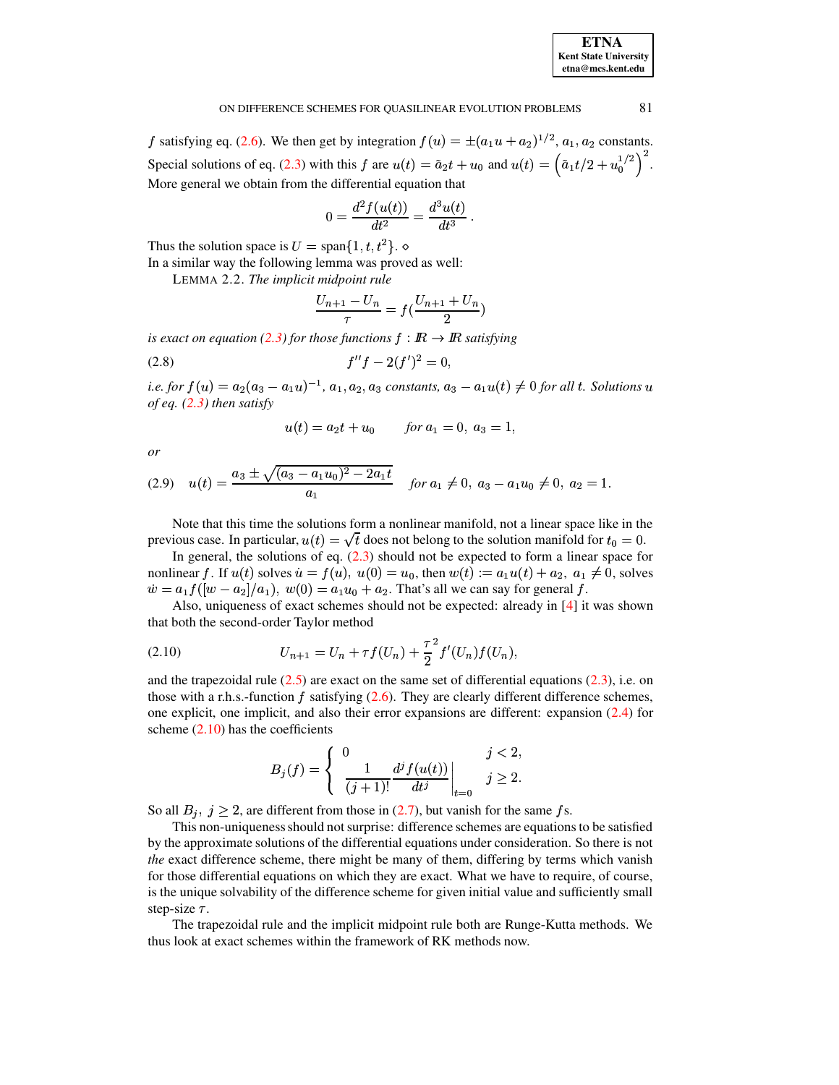## ON DIFFERENCE SCHEMES FOR QUASILINEAR EVOLUTION PROBLEMS 81

f satisfying eq. [\(2.6\)](#page-2-2). We then get by integration  $f(u) = \pm (a_1u + a_2)^{1/2}, a_1, a_2$  $)^{1/2}$ ,  $a_1$ ,  $a_2$  constants. Special solutions of eq. [\(2.3\)](#page-2-0) with this f are  $u(t) = \tilde{a}_2 t + u_0$  and  $u(t) = (\tilde{a}_1 t/2 + u_0^{1/2})^2$ .  $\begin{bmatrix} 1/2 \\ 0 \end{bmatrix}$ . More general we obtain from the differential equation that

$$
0 = \frac{d^2 f(u(t))}{dt^2} = \frac{d^3 u(t)}{dt^3}.
$$

Thus the solution space is  $U = \text{span}\{1, t, t^2\}$ .

In a similar way the following lemma was proved as well:

LEMMA 2.2. *The implicit midpoint rule*

$$
\frac{U_{n+1} - U_n}{\tau} = f(\frac{U_{n+1} + U_n}{2})
$$

is exact on equation [\(2.3\)](#page-2-0) for those functions  $f : \mathbb{R} \to \mathbb{R}$  satisfying

$$
(2.8) \t f''f - 2(f')^2 = 0,
$$

*i.e.* for  $f(u) = a_2(a_3 - a_1u)^{-1}$ ,  $a_1, a_2, a_3$  constants,  $a_3 - a_1u(t) \neq 0$  for all t. Solutions u of eq. (2.3) then satisfy *of eq. [\(2.3\)](#page-2-0) then satisfy*

<span id="page-3-1"></span>
$$
u(t) = a_2t + u_0 \qquad \text{for } a_1 = 0, \ a_3 = 1,
$$

*or*

<span id="page-3-2"></span>
$$
(2.9) \quad u(t) = \frac{a_3 \pm \sqrt{(a_3 - a_1 u_0)^2 - 2a_1 t}}{a_1} \quad \text{for } a_1 \neq 0, \ a_3 - a_1 u_0 \neq 0, \ a_2 = 1.
$$

Note that this time the solutions form a nonlinear manifold, not a linear space like in the previous case. In particular,  $u(t) = \sqrt{t}$  does not belong to the solution manifold for  $t_0 = 0$ .

In general, the solutions of eq.  $(2.3)$  should not be expected to form a linear space for nonlinear f. If  $u(t)$  solves  $u = f(u)$ ,  $u(0) = u_0$ , then  $w(t) := a_1 u(t) + a_2$ ,  $a_1 \neq 0$ , solves  $\dot{w} = a_1 f([w - a_2]/a_1), \ w(0) = a_1 u_0 + a_2.$  That's all we can say for general f.

Also, uniqueness of exact schemes should not be expected: already in [\[4\]](#page-14-2) it was shown that both the second-order Taylor method

<span id="page-3-0"></span>(2.10) 
$$
U_{n+1} = U_n + \tau f(U_n) + \frac{\tau^2}{2} f'(U_n) f(U_n),
$$

and the trapezoidal rule  $(2.5)$  are exact on the same set of differential equations  $(2.3)$ , i.e. on those with a r.h.s.-function f satisfying  $(2.6)$ . They are clearly different difference schemes, one explicit, one implicit, and also their error expansions are different: expansion [\(2.4\)](#page-2-1) for scheme  $(2.10)$  has the coefficients

$$
B_j(f) = \begin{cases} 0 & j < 2, \\ \frac{1}{(j+1)!} \frac{d^j f(u(t))}{dt^j} \Big|_{t=0} & j \ge 2. \end{cases}
$$

So all  $B_j$ ,  $j \ge 2$ , are different from those in [\(2.7\)](#page-2-4), but vanish for the same fs.

This non-uniqueness should not surprise: difference schemes are equations to be satisfied by the approximate solutions of the differential equations under consideration. So there is not *the* exact difference scheme, there might be many of them, differing by terms which vanish for those differential equations on which they are exact. What we have to require, of course, is the unique solvability of the difference scheme for given initial value and sufficiently small step-size  $\tau$ .

The trapezoidal rule and the implicit midpoint rule both are Runge-Kutta methods. We thus look at exact schemes within the framework of RK methods now.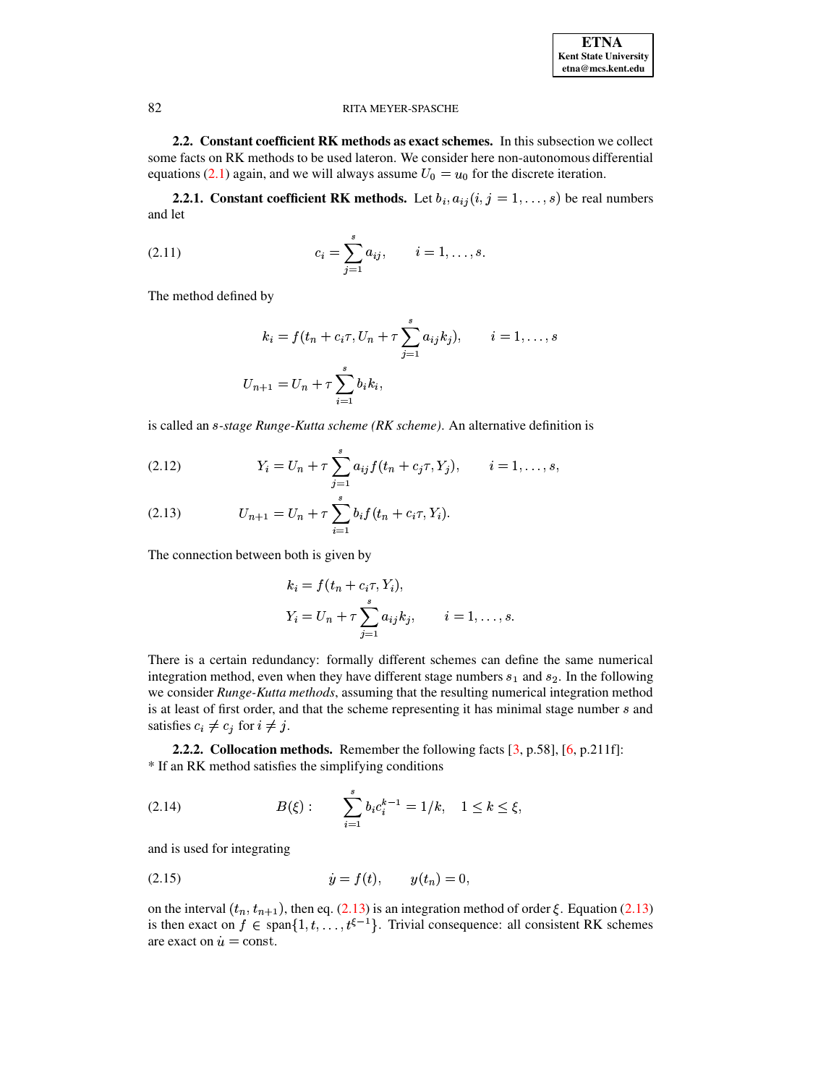2.2. Constant coefficient RK methods as exact schemes. In this subsection we collect some facts on RK methods to be used lateron. We consider here non-autonomous differential equations (2.1) again, and we will always assume  $U_0 = u_0$  for the discrete iteration.

**2.2.1.** Constant coefficient RK methods. Let  $b_i$ ,  $a_{ij}$  ( $i, j = 1, ..., s$ ) be real numbers and let

<span id="page-4-2"></span>(2.11) 
$$
c_i = \sum_{j=1}^s a_{ij}, \qquad i = 1, ..., s.
$$

The method defined by

$$
k_i = f(t_n + c_i \tau, U_n + \tau \sum_{j=1}^s a_{ij} k_j), \qquad i = 1, ..., s
$$
  

$$
U_{n+1} = U_n + \tau \sum_{i=1}^s b_i k_i,
$$

is called an *s-stage Runge-Kutta scheme (RK scheme)*. An alternative definition is

<span id="page-4-0"></span>(2.12) 
$$
Y_i = U_n + \tau \sum_{j=1}^s a_{ij} f(t_n + c_j \tau, Y_j), \qquad i = 1, ..., s,
$$

(2.13) 
$$
U_{n+1} = U_n + \tau \sum_{i=1}^s b_i f(t_n + c_i \tau, Y_i).
$$

The connection between both is given by

$$
k_i = f(t_n + c_i \tau, Y_i),
$$
  
\n
$$
Y_i = U_n + \tau \sum_{j=1}^s a_{ij} k_j, \qquad i = 1, ..., s.
$$

There is a certain redundancy: formally different schemes can define the same numerical integration method, even when they have different stage numbers  $s_1$  and  $s_2$ . In the following we consider Runge-Kutta methods, assuming that the resulting numerical integration method is at least of first order, and that the scheme representing it has minimal stage number  $s$  and satisfies  $c_i \neq c_j$  for  $i \neq j$ .

<span id="page-4-3"></span>**2.2.2. Collocation methods.** Remember the following facts  $[3, p.58]$ ,  $[6, p.211f]$ : \* If an RK method satisfies the simplifying conditions

<span id="page-4-4"></span>(2.14) 
$$
B(\xi): \qquad \sum_{i=1}^{s} b_i c_i^{k-1} = 1/k, \quad 1 \leq k \leq \xi,
$$

and is used for integrating

<span id="page-4-1"></span>(2.15) 
$$
\dot{y} = f(t), \qquad y(t_n) = 0,
$$

on the interval  $(t_n, t_{n+1})$ , then eq. (2.13) is an integration method of order  $\xi$ . Equation (2.13) is then exact on  $f \in \text{span}\{1, t, \ldots, t^{\xi-1}\}\$ . Trivial consequence: all consistent RK schemes are exact on  $\dot{u} = \text{const.}$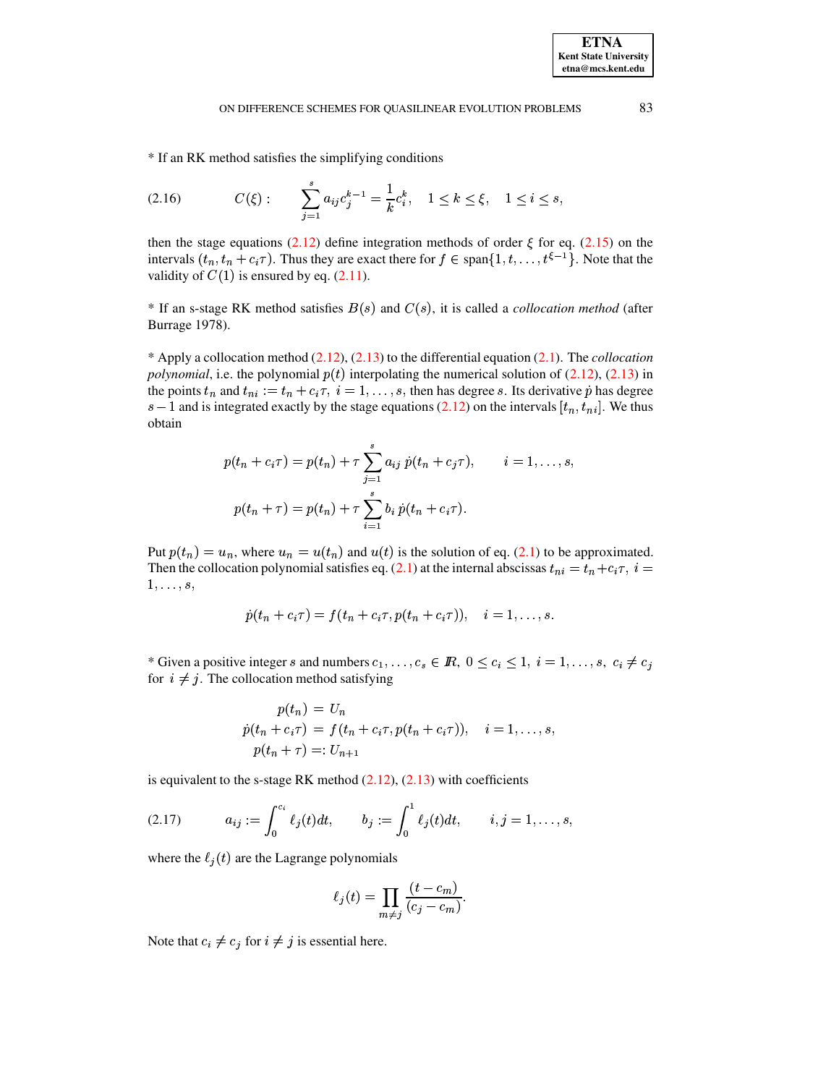\* If an RK method satisfies the simplifying conditions

<span id="page-5-1"></span>
$$
(2.16) \tC(\xi): \t\sum_{j=1}^s a_{ij} c_j^{k-1} = \frac{1}{k} c_i^k, \t1 \le k \le \xi, \t1 \le i \le s,
$$

then the stage equations (2.12) define integration methods of order  $\xi$  for eq. (2.15) on the intervals  $(t_n, t_n + c_i \tau)$ . Thus they are exact there for  $f \in \text{span}\{1, t, \ldots, t^{\xi-1}\}\.$  Note that the validity of  $C(1)$  is ensured by eq. (2.11).

\* If an s-stage RK method satisfies  $B(s)$  and  $C(s)$ , it is called a *collocation method* (after Burrage 1978).

\* Apply a collocation method  $(2.12)$ ,  $(2.13)$  to the differential equation  $(2.1)$ . The *collocation polynomial*, i.e. the polynomial  $p(t)$  interpolating the numerical solution of (2.12), (2.13) in the points  $t_n$  and  $t_{ni} := t_n + c_i \tau$ ,  $i = 1, ..., s$ , then has degree s. Its derivative  $\dot{p}$  has degree  $s-1$  and is integrated exactly by the stage equations (2.12) on the intervals  $[t_n, t_{ni}]$ . We thus obtain

$$
p(t_n + c_i \tau) = p(t_n) + \tau \sum_{j=1}^s a_{ij} \dot{p}(t_n + c_j \tau), \qquad i = 1, ..., s,
$$
  

$$
p(t_n + \tau) = p(t_n) + \tau \sum_{i=1}^s b_i \dot{p}(t_n + c_i \tau).
$$

Put  $p(t_n) = u_n$ , where  $u_n = u(t_n)$  and  $u(t)$  is the solution of eq. (2.1) to be approximated. Then the collocation polynomial satisfies eq. (2.1) at the internal abscissas  $t_{ni} = t_n + c_i \tau$ ,  $i =$  $1, \ldots, s$ ,

$$
\dot{p}(t_n+c_i\tau)=f(t_n+c_i\tau,p(t_n+c_i\tau)),\quad i=1,\ldots,s.
$$

\* Given a positive integer s and numbers  $c_1, \ldots, c_s \in \mathbb{R}$ ,  $0 \le c_i \le 1$ ,  $i = 1, \ldots, s$ ,  $c_i \ne c_j$ for  $i \neq j$ . The collocation method satisfying

$$
p(t_n) = U_n
$$
  
\n
$$
\dot{p}(t_n + c_i \tau) = f(t_n + c_i \tau, p(t_n + c_i \tau)), \quad i = 1, ..., s,
$$
  
\n
$$
p(t_n + \tau) =: U_{n+1}
$$

is equivalent to the s-stage RK method  $(2.12)$ ,  $(2.13)$  with coefficients

<span id="page-5-0"></span>(2.17) 
$$
a_{ij} := \int_0^{c_i} \ell_j(t) dt, \qquad b_j := \int_0^1 \ell_j(t) dt, \qquad i, j = 1, \ldots, s,
$$

where the  $\ell_i(t)$  are the Lagrange polynomials

$$
\ell_j(t) = \prod_{m \neq j} \frac{(t - c_m)}{(c_j - c_m)}.
$$

Note that  $c_i \neq c_j$  for  $i \neq j$  is essential here.

83

**ETNA Kent State University**  $etna@mcs. kent.edu$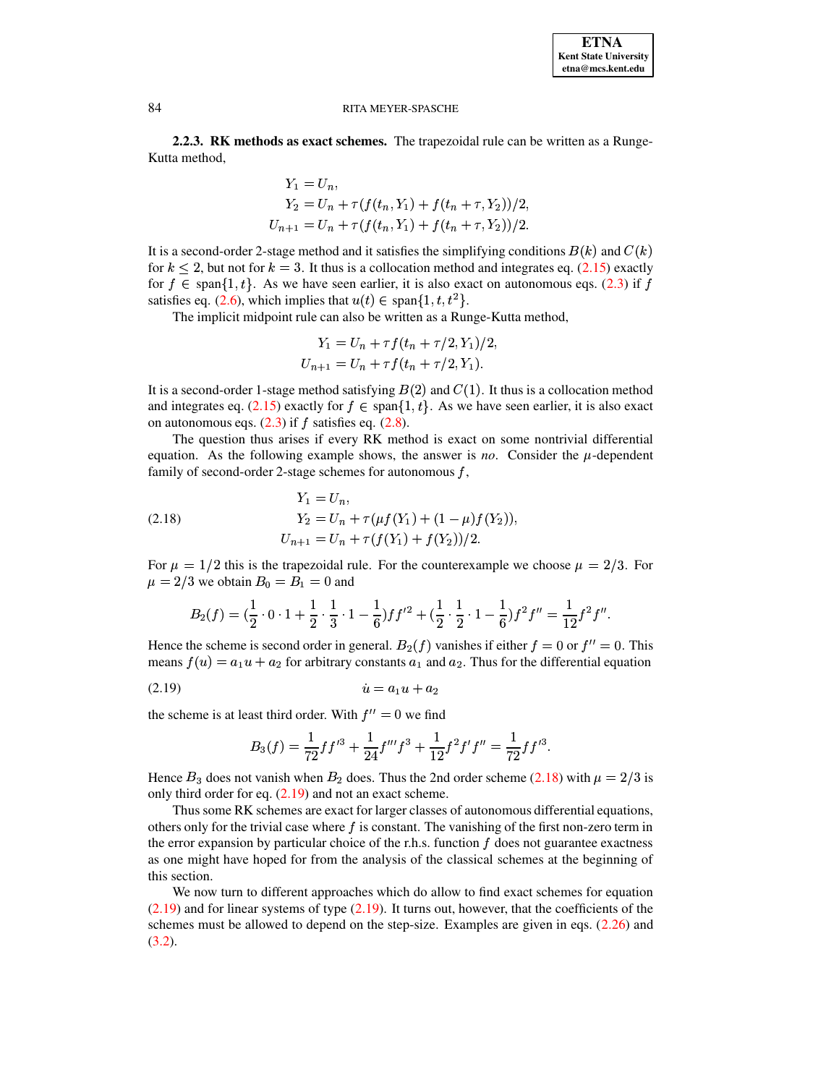2.2.3. RK methods as exact schemes. The trapezoidal rule can be written as a Runge-Kutta method,

$$
Y_1 = U_n,
$$
  
\n
$$
Y_2 = U_n + \tau(f(t_n, Y_1) + f(t_n + \tau, Y_2))/2,
$$
  
\n
$$
U_{n+1} = U_n + \tau(f(t_n, Y_1) + f(t_n + \tau, Y_2))/2.
$$

It is a second-order 2-stage method and it satisfies the simplifying conditions  $B(k)$  and  $C(k)$ for  $k \le 2$ , but not for  $k = 3$ . It thus is a collocation method and integrates eq. (2.15) exactly for  $f \in \text{span}\{1, t\}$ . As we have seen earlier, it is also exact on autonomous eqs. (2.3) if f satisfies eq. (2.6), which implies that  $u(t) \in \text{span}\{1, t, t^2\}$ .

The implicit midpoint rule can also be written as a Runge-Kutta method,

$$
Y_1 = U_n + \tau f(t_n + \tau/2, Y_1)/2
$$
  
\n
$$
U_{n+1} = U_n + \tau f(t_n + \tau/2, Y_1).
$$

It is a second-order 1-stage method satisfying  $B(2)$  and  $C(1)$ . It thus is a collocation method and integrates eq. (2.15) exactly for  $f \in \text{span}\{1, t\}$ . As we have seen earlier, it is also exact on autonomous eqs.  $(2.3)$  if f satisfies eq.  $(2.8)$ .

The question thus arises if every RK method is exact on some nontrivial differential equation. As the following example shows, the answer is *no*. Consider the  $\mu$ -dependent family of second-order 2-stage schemes for autonomous  $f$ ,

<span id="page-6-0"></span>(2.18) 
$$
Y_1 = U_n,
$$

$$
Y_2 = U_n + \tau(\mu f(Y_1) + (1 - \mu) f(Y_2)),
$$

$$
U_{n+1} = U_n + \tau(f(Y_1) + f(Y_2))/2.
$$

For  $\mu = 1/2$  this is the trapezoidal rule. For the counterexample we choose  $\mu = 2/3$ . For  $\mu = 2/3$  we obtain  $B_0 = B_1 = 0$  and

$$
B_2(f) = \left(\frac{1}{2} \cdot 0 \cdot 1 + \frac{1}{2} \cdot \frac{1}{3} \cdot 1 - \frac{1}{6}\right) f f'^2 + \left(\frac{1}{2} \cdot \frac{1}{2} \cdot 1 - \frac{1}{6}\right) f^2 f'' = \frac{1}{12} f^2 f''.
$$

Hence the scheme is second order in general.  $B_2(f)$  vanishes if either  $f = 0$  or  $f'' = 0$ . This means  $f(u) = a_1u + a_2$  for arbitrary constants  $a_1$  and  $a_2$ . Thus for the differential equation

the scheme is at least third order. With  $f'' = 0$  we find

<span id="page-6-1"></span>
$$
B_3(f) = \frac{1}{72} f f'^3 + \frac{1}{24} f''' f^3 + \frac{1}{12} f^2 f' f'' = \frac{1}{72} f f'^3
$$

Hence  $B_3$  does not vanish when  $B_2$  does. Thus the 2nd order scheme (2.18) with  $\mu = 2/3$  is only third order for eq.  $(2.19)$  and not an exact scheme.

Thus some RK schemes are exact for larger classes of autonomous differential equations, others only for the trivial case where  $f$  is constant. The vanishing of the first non-zero term in the error expansion by particular choice of the r.h.s. function  $f$  does not guarantee exactness as one might have hoped for from the analysis of the classical schemes at the beginning of this section.

We now turn to different approaches which do allow to find exact schemes for equation  $(2.19)$  and for linear systems of type  $(2.19)$ . It turns out, however, that the coefficients of the schemes must be allowed to depend on the step-size. Examples are given in eqs.  $(2.26)$  and  $(3.2).$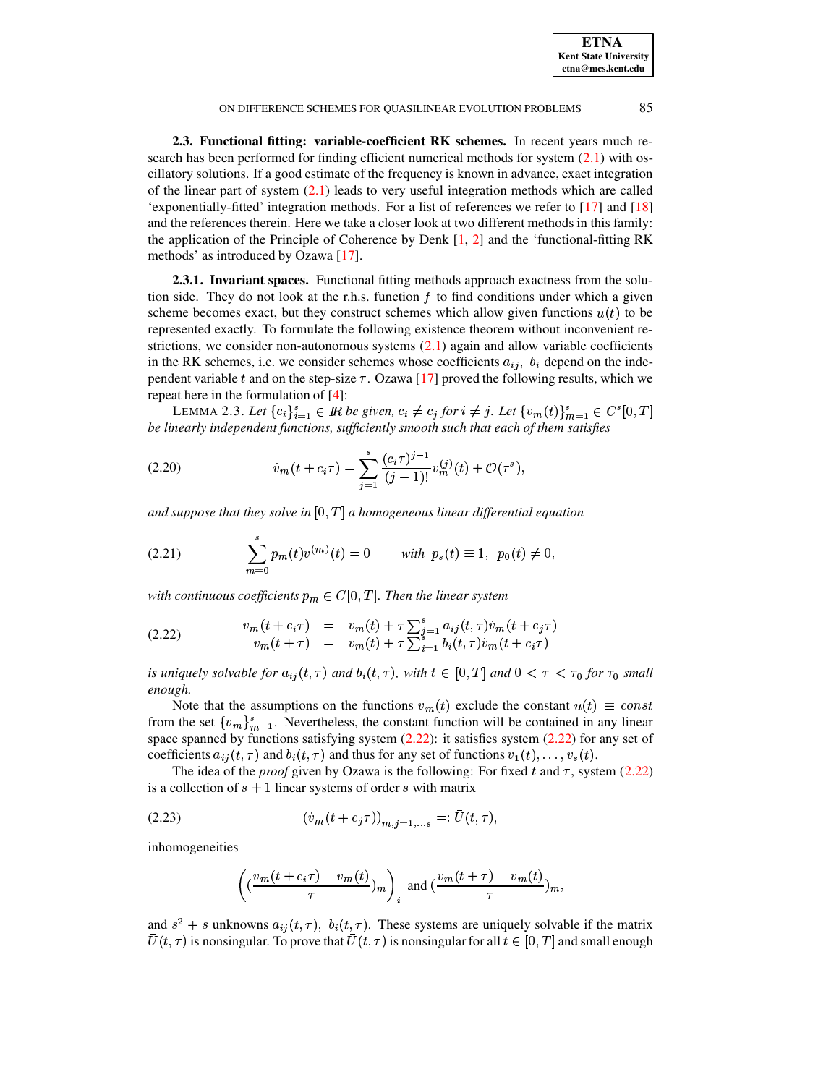**ETNA Kent State University etna@mcs.kent.edu**

## ON DIFFERENCE SCHEMES FOR QUASILINEAR EVOLUTION PROBLEMS 85

**2.3. Functional fitting: variable-coefficient RK schemes.** In recent years much research has been performed for finding efficient numerical methods for system [\(2.1\)](#page-1-0) with oscillatory solutions. If a good estimate of the frequency is known in advance, exact integration of the linear part of system [\(2.1\)](#page-1-0) leads to very useful integration methods which are called 'exponentially-fitted' integration methods. For a list of references we refer to [\[17\]](#page-15-4) and [\[18\]](#page-15-5) and the references therein. Here we take a closer look at two different methods in this family: the application of the Principle of Coherence by Denk  $[1, 2]$  $[1, 2]$  $[1, 2]$  and the 'functional-fitting RK methods' as introduced by Ozawa [\[17\]](#page-15-4).

**2.3.1. Invariant spaces.** Functional fitting methods approach exactness from the solution side. They do not look at the r.h.s. function  $f$  to find conditions under which a given scheme becomes exact, but they construct schemes which allow given functions  $u(t)$  to be represented exactly. To formulate the following existence theorem without inconvenient restrictions, we consider non-autonomous systems  $(2.1)$  again and allow variable coefficients in the RK schemes, i.e. we consider schemes whose coefficients  $a_{ij}$ ,  $b_i$  depend on the independent variable t and on the step-size  $\tau$ . Ozawa [\[17\]](#page-15-4) proved the following results, which we repeat here in the formulation of [\[4\]](#page-14-2): LEMMA 2.3. Let  $\{c_i\}_{i=1}^s \in \mathbb{R}$  be given,  $c_i \neq c_j$  for  $i \neq j$ . Let  $\{v_m(t)\}_{m=1}^s \in C^s[0, T]$ <br>LEMMA 2.3. Let  $\{c_i\}_{i=1}^s \in \mathbb{R}$  be given,  $c_i \neq c_j$  for  $i \neq j$ . Let  $\{v_m(t)\}_{m=1}^s \in C^s[0, T]$ 

<span id="page-7-3"></span>*be linearly independent functions, sufficiently smooth such that each of them satisfies*<br>  $\frac{s}{(c_i \tau)^{j-1}}$  (*i*)

<span id="page-7-1"></span>(2.20) 
$$
\dot{v}_m(t + c_i \tau) = \sum_{j=1}^s \frac{(c_i \tau)^{j-1}}{(j-1)!} v_m^{(j)}(t) + \mathcal{O}(\tau^s),
$$

and suppose that they solve in  $[0,T]$  a homogeneous linear differential equation

<span id="page-7-2"></span>(2.21) 
$$
\sum_{m=0}^{s} p_m(t) v^{(m)}(t) = 0 \quad \text{with } p_s(t) \equiv 1, \ p_0(t) \neq 0,
$$

with continuous coefficients  $p_m \in C[0,T]$ . Then the linear system

<span id="page-7-0"></span>(2.22) 
$$
v_m(t + c_i \tau) = v_m(t) + \tau \sum_{j=1}^s a_{ij}(t, \tau) \dot{v}_m(t + c_j \tau) v_m(t + \tau) = v_m(t) + \tau \sum_{i=1}^s b_i(t, \tau) \dot{v}_m(t + c_i \tau)
$$

is uniquely solvable for  $a_{ij}(t, \tau)$  and  $b_i(t, \tau)$ , with  $t \in [0, T]$  and  $0 < \tau < \tau_0$  for  $\tau_0$  small *enough.* If the assumptions on the functions  $v_m(t)$  exclude the constant  $u(t) \equiv const$ <br>Note that the assumptions on the functions  $v_m(t)$  exclude the constant  $u(t) \equiv const$ 

from the set  $\{v_m\}_{m=1}^s$ . Nevertheless, the constant function will be contained in any linear space spanned by functions satisfying system  $(2.22)$ : it satisfies system  $(2.22)$  for any set of coefficients  $a_{ij}(t, \tau)$  and  $b_i(t, \tau)$  and thus for any set of functions  $v_1(t), \ldots, v_s(t)$ .

The idea of the *proof* given by Ozawa is the following: For fixed  $t$  and  $\tau$ , system [\(2.22\)](#page-7-0) is a collection of  $s + 1$  linear systems of order  $s$  with matrix

<span id="page-7-4"></span>(2.23) 
$$
\left(\dot{v}_m(t+c_j\tau)\right)_{m,j=1,...s} =:\bar{U}(t,\tau),
$$

inhomogeneities

$$
\left((\frac{v_m(t+c_i\tau)-v_m(t)}{\tau})_m\right)_i \text{ and } (\frac{v_m(t+\tau)-v_m(t)}{\tau})_m,
$$

and  $s^2 + s$  unknowns  $a_{ij}(t, \tau)$ ,  $b_i(t, \tau)$ . These systems are uniquely solvable if the matrix  $U(t,\tau)$  is nonsingular. To prove that  $U(t,\tau)$  is nonsingular for all  $t\in[0,T]$  and small enough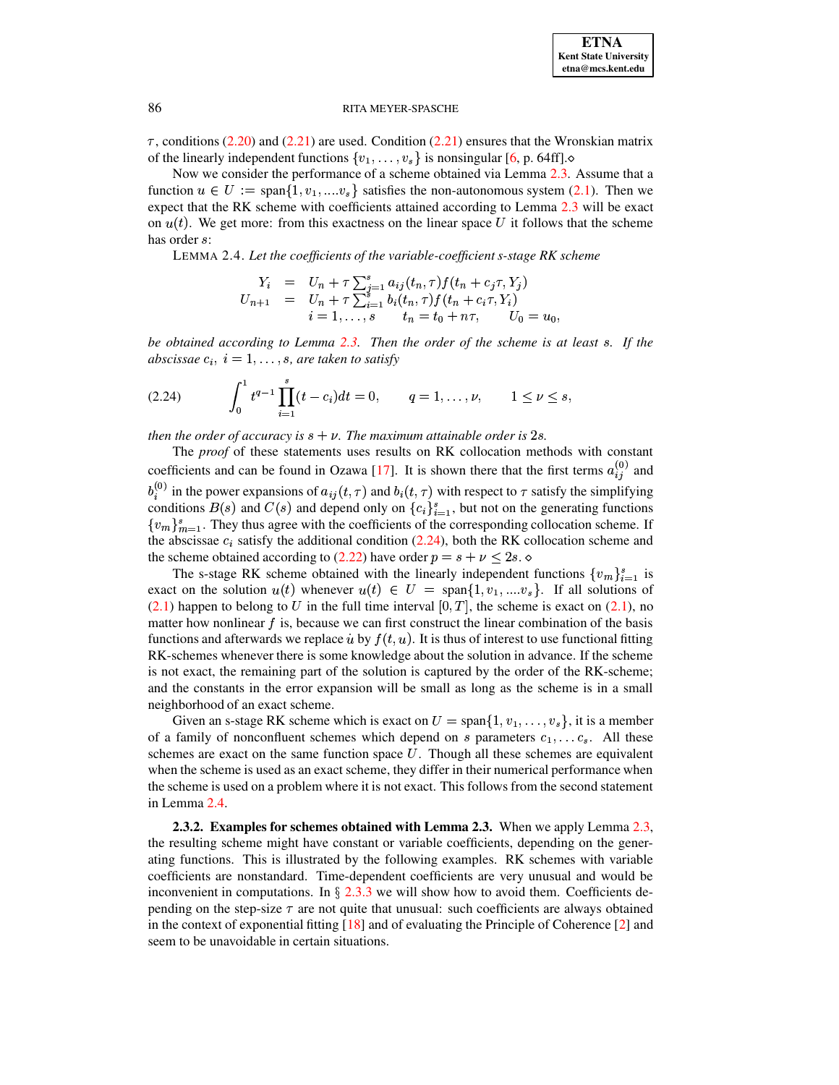$\tau$ , conditions (2.20) and (2.21) are used. Condition (2.21) ensures that the Wronskian matrix of the linearly independent functions  $\{v_1, \ldots, v_s\}$  is nonsingular [6, p. 64ff].

<span id="page-8-1"></span>Now we consider the performance of a scheme obtained via Lemma 2.3. Assume that a function  $u \in U := \text{span}\{1, v_1, ..., v_s\}$  satisfies the non-autonomous system (2.1). Then we expect that the RK scheme with coefficients attained according to Lemma 2.3 will be exact on  $u(t)$ . We get more: from this exactness on the linear space U it follows that the scheme has order s:

LEMMA 2.4. Let the coefficients of the variable-coefficient s-stage RK scheme

$$
Y_i = U_n + \tau \sum_{j=1}^s a_{ij}(t_n, \tau) f(t_n + c_j \tau, Y_j)
$$
  
\n
$$
U_{n+1} = U_n + \tau \sum_{i=1}^s b_i(t_n, \tau) f(t_n + c_i \tau, Y_i)
$$
  
\n
$$
i = 1, \dots, s \qquad t_n = t_0 + n\tau, \qquad U_0 = u_0,
$$

be obtained according to Lemma 2.3. Then the order of the scheme is at least s. If the abscissae  $c_i$ ,  $i = 1, \ldots, s$ , are taken to satisfy

<span id="page-8-0"></span>
$$
(2.24) \qquad \int_0^1 t^{q-1} \prod_{i=1}^s (t-c_i) dt = 0, \qquad q = 1, \ldots, \nu, \qquad 1 \leq \nu \leq s,
$$

then the order of accuracy is  $s + v$ . The maximum attainable order is 2s.

The proof of these statements uses results on RK collocation methods with constant coefficients and can be found in Ozawa [17]. It is shown there that the first terms  $a_{ii}^{(0)}$  and  $b_i^{(0)}$  in the power expansions of  $a_{ij}(t, \tau)$  and  $b_i(t, \tau)$  with respect to  $\tau$  satisfy the simplifying conditions  $B(s)$  and  $C(s)$  and depend only on  ${c_i}_{i=1}^s$ , but not on the generating functions  $\{v_m\}_{m=1}^s$ . They thus agree with the coefficients of the corresponding collocation scheme. If the abscissae  $c_i$  satisfy the additional condition (2.24), both the RK collocation scheme and the scheme obtained according to (2.22) have order  $p = s + \nu \leq 2s$ .

The s-stage RK scheme obtained with the linearly independent functions  $\{v_m\}_{m=1}^s$  is exact on the solution  $u(t)$  whenever  $u(t) \in U = \text{span}\{1, v_1, ..., v_s\}$ . If all solutions of  $(2.1)$  happen to belong to U in the full time interval  $[0, T]$ , the scheme is exact on  $(2.1)$ , no matter how nonlinear  $f$  is, because we can first construct the linear combination of the basis functions and afterwards we replace  $\dot{u}$  by  $f(t, u)$ . It is thus of interest to use functional fitting RK-schemes whenever there is some knowledge about the solution in advance. If the scheme is not exact, the remaining part of the solution is captured by the order of the RK-scheme; and the constants in the error expansion will be small as long as the scheme is in a small neighborhood of an exact scheme.

Given an s-stage RK scheme which is exact on  $U = \text{span}\{1, v_1, \dots, v_s\}$ , it is a member of a family of nonconfluent schemes which depend on s parameters  $c_1, \ldots c_s$ . All these schemes are exact on the same function space  $U$ . Though all these schemes are equivalent when the scheme is used as an exact scheme, they differ in their numerical performance when the scheme is used on a problem where it is not exact. This follows from the second statement in Lemma 2.4.

2.3.2. Examples for schemes obtained with Lemma 2.3. When we apply Lemma 2.3, the resulting scheme might have constant or variable coefficients, depending on the generating functions. This is illustrated by the following examples. RK schemes with variable coefficients are nonstandard. Time-dependent coefficients are very unusual and would be inconvenient in computations. In  $\S 2.3.3$  we will show how to avoid them. Coefficients depending on the step-size  $\tau$  are not quite that unusual: such coefficients are always obtained in the context of exponential fitting  $[18]$  and of evaluating the Principle of Coherence  $[2]$  and seem to be unavoidable in certain situations.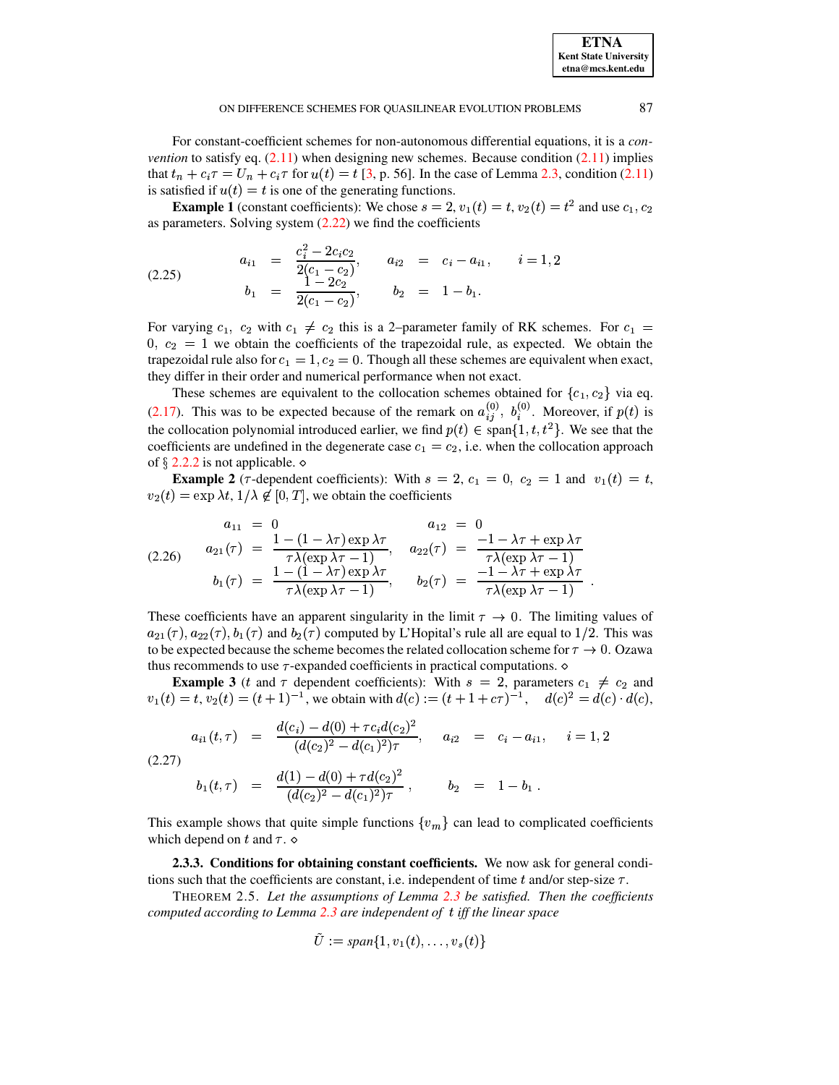For constant-coefficient schemes for non-autonomous differential equations, it is a *convention* to satisfy eq.  $(2.11)$  when designing new schemes. Because condition  $(2.11)$  implies that  $t_n + c_i \tau = U_n + c_i \tau$  for  $u(t) = t$  [\[3,](#page-14-3) p. 56]. In the case of Lemma [2.3,](#page-7-3) condition [\(2.11\)](#page-4-2) is satisfied if  $u(t) = t$  is one of the generating functions.  $u_n + c_i \tau = U_n + c_i \tau$  for  $u(t) = t$  [5, p. 50]. In the case of Lemma 2.5, condition (2.11)<br>tisfied if  $u(t) = t$  is one of the generating functions.<br>**Example 1** (constant coefficients): We chose  $s = 2$ ,  $v_1(t) = t$ ,  $v_2(t) = t^2$  and  $\frac{11}{2}$ 

as parameters. Solving system (2.22) we find the coefficients  
\n
$$
a_{i1} = \frac{c_i^2 - 2c_i c_2}{2(c_1 - c_2)}, \qquad a_{i2} = c_i - a_{i1}, \qquad i = 1, 2
$$
\n(2.25)  
\n
$$
b_1 = \frac{1 - 2c_2}{2(c_1 - c_2)}, \qquad b_2 = 1 - b_1.
$$
\nFor varying  $c_1$ ,  $c_2$  with  $c_1 \neq c_2$  this is a 2-parameter family of RK schemes. For

<span id="page-9-2"></span> $2(c_1 - c_2)$ <br>
1,  $c_2$  with  $c_1 \neq c_2$  this is a 2-parameter family of RK schemes. For  $c_1 =$ For varying  $c_1$ ,  $c_2$  with  $c_1 \neq c_2$  uns is a 2-parameter raminy of KK schemes. For  $c_1 = 0$ ,  $c_2 = 1$  we obtain the coefficients of the trapezoidal rule, as expected. We obtain the trapezoidal rule also for  $c_1 = 1$ or varying  $\frac{1}{2}$  $A_1 = 1, c_2 = 0$ . Though all these schemes are equivalent when exact,<br>and numerical performance when not exact. they differ in their order and numerical performance when not exact. Exondal rule also for  $c_1 = 1$ ,  $c_2 = 0$ . Though an these schemes are equivalent when e<br>differ in their order and numerical performance when not exact.<br>These schemes are equivalent to the collocation schemes obtained for

 $_1, c_2$ } via eq. [\(2.17\)](#page-5-0). This was to be expected because of the remark on  $a_{ij}^{(0)}$ ,  $b_i^{(0)}$ . Moreover, if  $p(t)$  is the collocation polynomial introduced earlier, we find  $p(t) \in \text{span}\{1, t, t^2\}$ . We see that the coefficients are undefined in the degenerate case  $c_1 = c_2$ , i.e. when the collocation approach  $s_1 = c_2$ , i.e. when the collocation approach of  $\S$  [2.2.2](#page-4-3) is not applicable.  $\diamond$ 

**Example 2** ( $\tau$ -dependent coefficients): With  $s = 2$ ,  $c_1 = 0$ ,  $c_2 = 1$  and  $v_1(t) = t$ ,  $v_2(t) = \exp \lambda t$ ,  $1/\lambda \notin [0, T]$ , we obtain the coefficients

<span id="page-9-0"></span>
$$
\begin{array}{rcl}\na_{11} & = & 0 \\
a_{21}(\tau) & = & \frac{1 - (1 - \lambda \tau) \exp \lambda \tau}{\tau \lambda(\exp \lambda \tau - 1)}, \\
b_1(\tau) & = & \frac{1 - (1 - \lambda \tau) \exp \lambda \tau}{\tau \lambda(\exp \lambda \tau - 1)}, \\
b_2(\tau) & = & \frac{1 - (1 - \lambda \tau) \exp \lambda \tau}{\tau \lambda(\exp \lambda \tau - 1)}, \\
b_3(\tau) & = & \frac{-1 - \lambda \tau + \exp \lambda \tau}{\tau \lambda(\exp \lambda \tau - 1)}.\n\end{array}
$$

These coefficients have an apparent singularity in the limit  $\tau \to 0$ . The limiting values of  $a_{21}(\tau), a_{22}(\tau), b_1(\tau)$  and  $b_2(\tau)$  computed by L'Hopital's rule all are equal to 1/2. This was to be expected because the scheme becomes the related collocation scheme for  $\tau \to 0$ . Ozawa thus recommends to use  $\tau$ -expanded coefficients in practical computations.  $\diamond$ Example 3 (t and  $\tau$  dependent coefficients): With  $s = 2$ , parameters  $c_1 \neq c_2$  and<br>Example 3 (t and  $\tau$  dependent coefficients): With  $s = 2$ , parameters  $c_1 \neq c_2$  and

 $v_1(t) = t$ ,  $v_2(t) = (t+1)^{-1}$ , we obtain with  $d(c) := (t+1+c\tau)^{-1}$ ,  $d(c)^2 = d(c) \cdot d(c)$ ,<br> $d(c_i) = d(0) + \tau c_i d(c_2)^2$ ts in practical computations.<br>
(c) :=  $(t + 1 + c\tau)^{-1}$ . d( ters  $c_1 \neq c_2$  and<br>  $(c)^2 = d(c) \cdot d(c)$ .

$$
a_{i1}(t,\tau) = \frac{d(c_i) - d(0) + \tau c_i d(c_2)^2}{(d(c_2)^2 - d(c_1)^2)\tau}, \quad a_{i2} = c_i - a_{i1}, \quad i = 1, 2
$$
  
(2.27)  

$$
b_1(t,\tau) = \frac{d(1) - d(0) + \tau d(c_2)^2}{(d(c_2)^2 - d(c_1)^2)\tau}, \quad b_2 = 1 - b_1.
$$

<span id="page-9-3"></span><span id="page-9-1"></span>This example shows that quite simple functions  $\{v_m\}$  can lead to complicated coefficients

which depend on t and  $\tau$ .  $\diamond$ **2.3.3. Conditions for obtaining constant coefficients.** We now ask for general condi-

tions such that the coefficients are constant, i.e. independent of time t and/or step-size  $\tau$ .

THEOREM 2.5. *Let the assumptions of Lemma [2.3](#page-7-3) be satisfied. Then the coefficients computed according to Lemma [2.3](#page-7-3) are independent of iff the linear space*

$$
U := span\{1, v_1(t), \ldots, v_s(t)\}
$$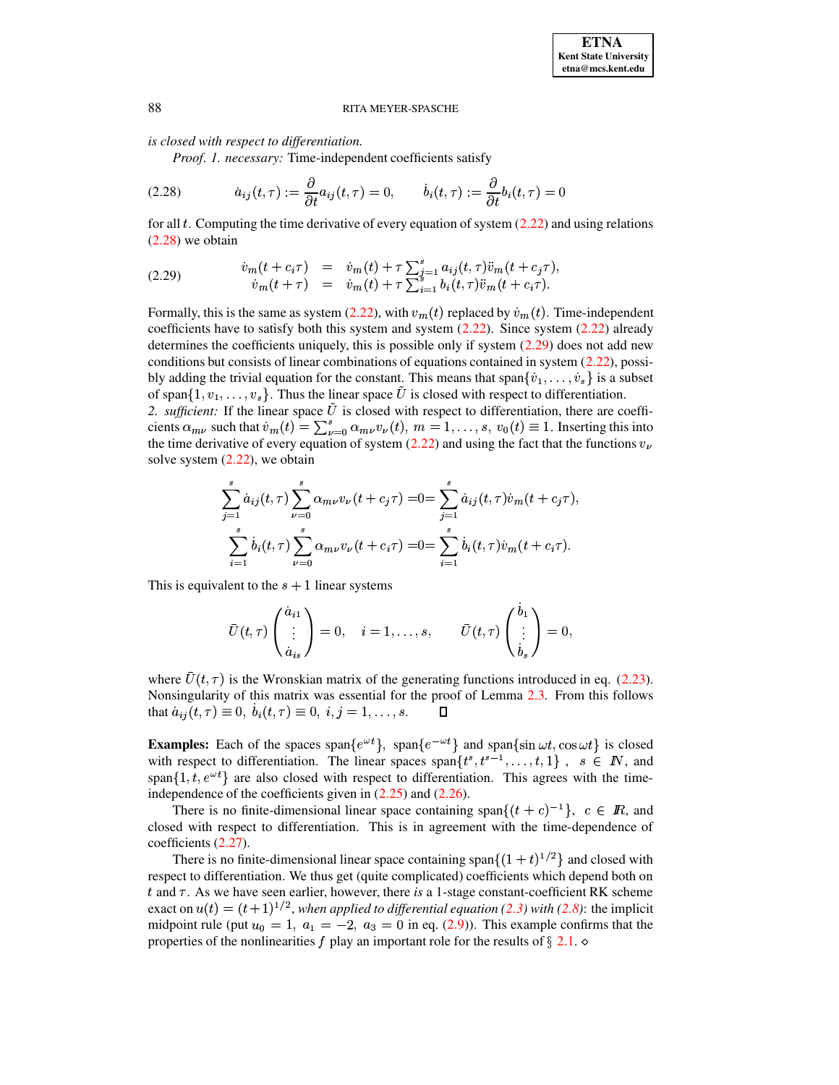is closed with respect to differentiation.

Proof. 1. necessary: Time-independent coefficients satisfy

<span id="page-10-0"></span>(2.28) 
$$
\dot{a}_{ij}(t,\tau) := \frac{\partial}{\partial t} a_{ij}(t,\tau) = 0, \qquad \dot{b}_i(t,\tau) := \frac{\partial}{\partial t} b_i(t,\tau) = 0
$$

for all  $t$ . Computing the time derivative of every equation of system  $(2.22)$  and using relations  $(2.28)$  we obtain

<span id="page-10-1"></span>(2.29) 
$$
\dot{v}_m(t+c_i\tau) = \dot{v}_m(t) + \tau \sum_{j=1}^s a_{ij}(t,\tau)\ddot{v}_m(t+c_j\tau), \n\dot{v}_m(t+\tau) = \dot{v}_m(t) + \tau \sum_{i=1}^s b_i(t,\tau)\ddot{v}_m(t+c_i\tau).
$$

Formally, this is the same as system (2.22), with  $v_m(t)$  replaced by  $\dot{v}_m(t)$ . Time-independent coefficients have to satisfy both this system and system  $(2.22)$ . Since system  $(2.22)$  already determines the coefficients uniquely, this is possible only if system  $(2.29)$  does not add new conditions but consists of linear combinations of equations contained in system (2.22), possibly adding the trivial equation for the constant. This means that span $\{\dot{v}_1, \dots, \dot{v}_s\}$  is a subset of span $\{1, v_1, \ldots, v_s\}$ . Thus the linear space U is closed with respect to differentiation.

2. sufficient: If the linear space  $U$  is closed with respect to differentiation, there are coefficients  $\alpha_{m\nu}$  such that  $\dot{v}_m(t) = \sum_{\nu=0}^s \alpha_{m\nu} v_\nu(t)$ ,  $m = 1, \ldots, s$ ,  $v_0(t) \equiv 1$ . Inserting this into the time derivative of every equation of system (2.22) and using the fact that the functions  $v_{\nu}$ solve system  $(2.22)$ , we obtain

$$
\sum_{j=1}^{s} \dot{a}_{ij}(t,\tau) \sum_{\nu=0}^{s} \alpha_{m\nu} v_{\nu}(t+c_j\tau) = 0 = \sum_{j=1}^{s} \dot{a}_{ij}(t,\tau) \dot{v}_{m}(t+c_j\tau),
$$
  

$$
\sum_{i=1}^{s} \dot{b}_{i}(t,\tau) \sum_{\nu=0}^{s} \alpha_{m\nu} v_{\nu}(t+c_i\tau) = 0 = \sum_{i=1}^{s} \dot{b}_{i}(t,\tau) \dot{v}_{m}(t+c_i\tau).
$$

This is equivalent to the  $s + 1$  linear systems

$$
\bar{U}(t,\tau)\begin{pmatrix}\dot{a}_{i1}\\ \vdots\\ \dot{a}_{is}\end{pmatrix}=0, \quad i=1,\ldots,s, \qquad \bar{U}(t,\tau)\begin{pmatrix}b_1\\ \vdots\\ b_s\end{pmatrix}=0,
$$

where  $\bar{U}(t, \tau)$  is the Wronskian matrix of the generating functions introduced in eq. (2.23). Nonsingularity of this matrix was essential for the proof of Lemma 2.3. From this follows that  $\dot{a}_{ij}(t, \tau) \equiv 0, b_i(t, \tau) \equiv 0, i, j = 1, ..., s$ . П

**Examples:** Each of the spaces span $\{e^{\omega t}\}\$ , span $\{e^{-\omega t}\}\$  and span $\{\sin \omega t, \cos \omega t\}$  is closed with respect to differentiation. The linear spaces span $\{t^s, t^{s-1}, \ldots, t, 1\}$ ,  $s \in \mathbb{N}$ , and span $\{1, t, e^{\omega t}\}\$ are also closed with respect to differentiation. This agrees with the timeindependence of the coefficients given in  $(2.25)$  and  $(2.26)$ .

There is no finite-dimensional linear space containing span $\{(t+c)^{-1}\}\$ ,  $c \in \mathbb{R}$ , and closed with respect to differentiation. This is in agreement with the time-dependence of coefficients (2.27).

There is no finite-dimensional linear space containing span $\{(1 + t)^{1/2}\}\$ and closed with respect to differentiation. We thus get (quite complicated) coefficients which depend both on t and  $\tau$ . As we have seen earlier, however, there is a 1-stage constant-coefficient RK scheme exact on  $u(t) = (t+1)^{1/2}$ , when applied to differential equation (2.3) with (2.8): the implicit midpoint rule (put  $u_0 = 1$ ,  $a_1 = -2$ ,  $a_3 = 0$  in eq. (2.9)). This example confirms that the properties of the nonlinearities f play an important role for the results of  $\S 2.1. \diamond$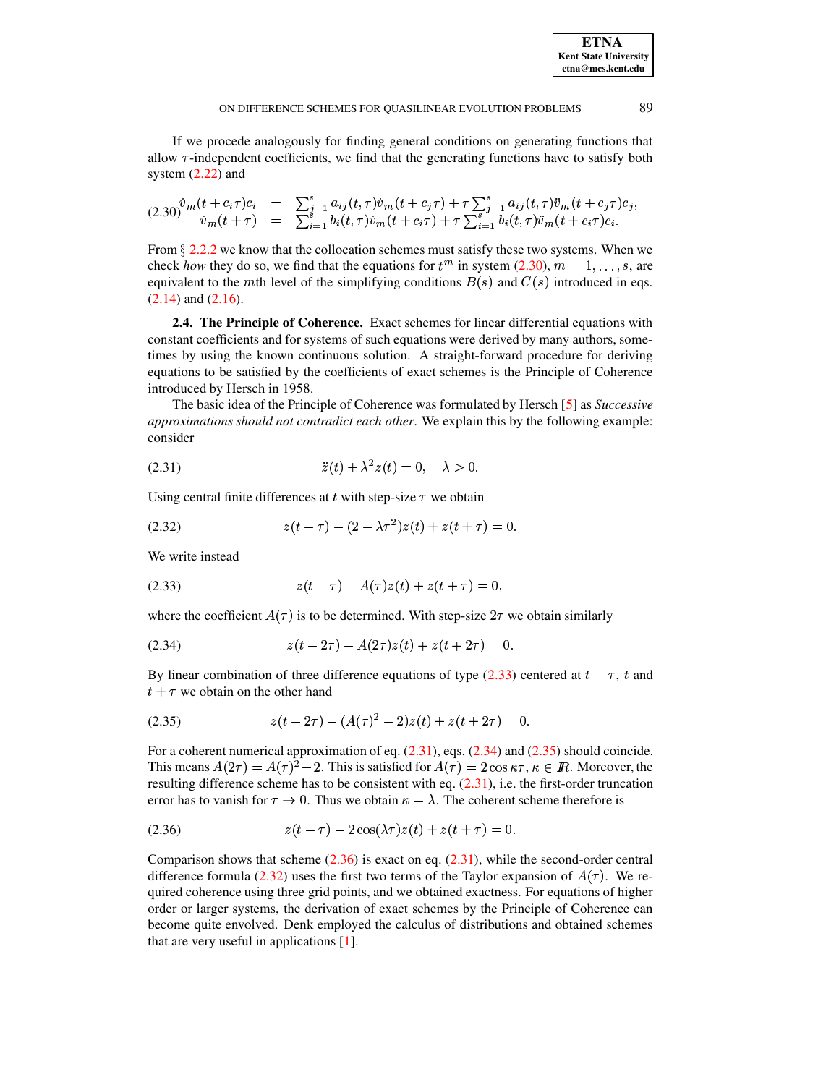If we procede analogously for finding general conditions on generating functions that allow  $\tau$ -independent coefficients, we find that the generating functions have to satisfy both system  $(2.22)$  and nd<br>5 <sup>o</sup>

<span id="page-11-0"></span>
$$
(2.30)^{\dot{v}_m}(t+c_i\tau)c_i = \sum_{i=1}^s a_{ij}(t,\tau)\dot{v}_m(t+c_j\tau) + \tau \sum_{i=1}^s a_{ij}(t,\tau)\ddot{v}_m(t+c_j\tau)c_j, \n\dot{v}_m(t+\tau) = \sum_{i=1}^s b_i(t,\tau)\dot{v}_m(t+c_i\tau) + \tau \sum_{i=1}^s b_i(t,\tau)\ddot{v}_m(t+c_i\tau)c_i.
$$

From  $\S 2.2.2$  $\S 2.2.2$  we know that the collocation schemes must satisfy these two systems. When we check *how* they do so, we find that the equations for  $t^m$  in system [\(2.30\)](#page-11-0),  $m = 1, \ldots, s$ , are equivalent to the mth level of the simplifying conditions  $B(s)$  and  $C(s)$  introduced in eqs. [\(2.14\)](#page-4-4) and [\(2.16\)](#page-5-1).

<span id="page-11-7"></span>**2.4. The Principle of Coherence.** Exact schemes for linear differential equations with constant coefficients and for systems of such equations were derived by many authors, sometimes by using the known continuous solution. A straight-forward procedure for deriving equations to be satisfied by the coefficients of exact schemes is the Principle of Coherence introduced by Hersch in 1958.

The basic idea of the Principle of Coherence was formulated by Hersch [\[5\]](#page-14-7) as *Successive approximations should not contradict each other*. We explain this by the following example: consider

<span id="page-11-2"></span>(2.31) 
$$
\ddot{z}(t) + \lambda^2 z(t) = 0, \quad \lambda > 0.
$$

Using central finite differences at  $t$  with step-size  $\tau$  we obtain

<span id="page-11-6"></span>(2.32) 
$$
z(t-\tau) - (2-\lambda \tau^2)z(t) + z(t+\tau) = 0.
$$

We write instead

<span id="page-11-1"></span>(2.33) 
$$
z(t-\tau) - A(\tau)z(t) + z(t+\tau) = 0,
$$

where the coefficient  $A(\tau)$  is to be determined. With step-size  $2\tau$  we obtain similarly

<span id="page-11-3"></span>
$$
(2.34) \t\t z(t-2\tau) - A(2\tau)z(t) + z(t+2\tau) = 0.
$$

By linear combination of three difference equations of type [\(2.33\)](#page-11-1) centered at  $t - \tau$ , t and  $t + \tau$  we obtain on the other hand

<span id="page-11-4"></span>
$$
(2.35) \t z(t-2\tau) - (A(\tau)^2 - 2)z(t) + z(t+2\tau) = 0.
$$

For a coherent numerical approximation of eq.  $(2.31)$ , eqs.  $(2.34)$  and  $(2.35)$  should coincide. This means  $A(2\tau) = A(\tau)^2 - 2$ . This is satisfied for  $A(\tau) = 2 \cos \kappa \tau$ ,  $\kappa \in \mathbb{R}$ . Moreover, the resulting difference scheme has to be consistent with eq. [\(2.31\)](#page-11-2), i.e. the first-order truncation error has to vanish for  $\tau \to 0$ . Thus we obtain  $\kappa = \lambda$ . The coherent scheme therefore is

<span id="page-11-5"></span>(2.36) 
$$
z(t-\tau) - 2\cos(\lambda \tau)z(t) + z(t+\tau) = 0.
$$

Comparison shows that scheme  $(2.36)$  is exact on eq.  $(2.31)$ , while the second-order central difference formula [\(2.32\)](#page-11-6) uses the first two terms of the Taylor expansion of  $A(\tau)$ . We required coherence using three grid points, and we obtained exactness. For equations of higher order or larger systems, the derivation of exact schemes by the Principle of Coherence can become quite envolved. Denk employed the calculus of distributions and obtained schemes that are very useful in applications [\[1\]](#page-14-5).

**ETNA Kent State University etna@mcs.kent.edu**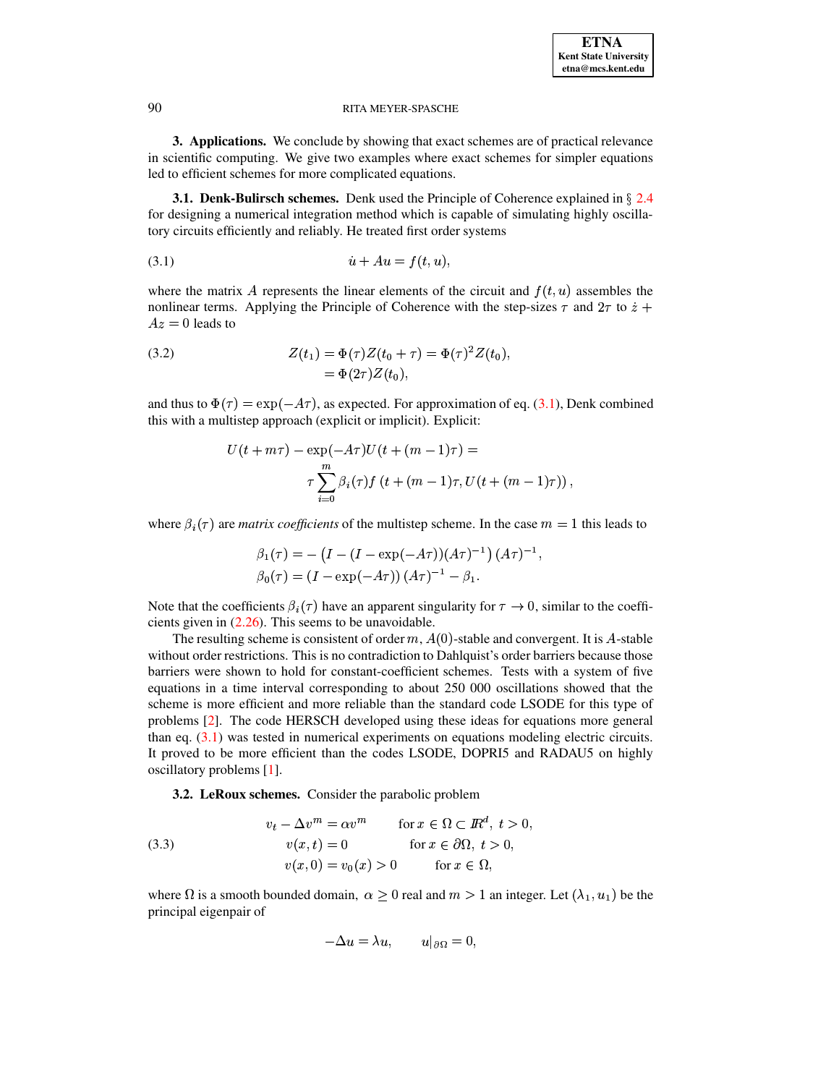3. Applications. We conclude by showing that exact schemes are of practical relevance in scientific computing. We give two examples where exact schemes for simpler equations led to efficient schemes for more complicated equations.

**3.1. Denk-Bulirsch schemes.** Denk used the Principle of Coherence explained in  $\S$  2.4 for designing a numerical integration method which is capable of simulating highly oscillatory circuits efficiently and reliably. He treated first order systems

<span id="page-12-1"></span>
$$
(3.1) \qquad \qquad \dot{u} + Au = f(t, u),
$$

where the matrix A represents the linear elements of the circuit and  $f(t, u)$  assembles the nonlinear terms. Applying the Principle of Coherence with the step-sizes  $\tau$  and  $2\tau$  to  $\dot{z}$  +  $Az = 0$  leads to

<span id="page-12-0"></span>(3.2) 
$$
Z(t_1) = \Phi(\tau)Z(t_0 + \tau) = \Phi(\tau)^2 Z(t_0), = \Phi(2\tau)Z(t_0),
$$

and thus to  $\Phi(\tau) = \exp(-A\tau)$ , as expected. For approximation of eq. (3.1), Denk combined this with a multistep approach (explicit or implicit). Explicit:

$$
U(t + m\tau) - \exp(-A\tau)U(t + (m - 1)\tau) =
$$
  

$$
\tau \sum_{i=0}^{m} \beta_i(\tau) f(t + (m - 1)\tau, U(t + (m - 1)\tau)),
$$

where  $\beta_i(\tau)$  are *matrix coefficients* of the multistep scheme. In the case  $m = 1$  this leads to

$$
\beta_1(\tau) = -\left(I - (I - \exp(-A\tau))(A\tau)^{-1}\right)(A\tau)^{-1}, \n\beta_0(\tau) = (I - \exp(-A\tau))(A\tau)^{-1} - \beta_1.
$$

Note that the coefficients  $\beta_i(\tau)$  have an apparent singularity for  $\tau \to 0$ , similar to the coefficients given in  $(2.26)$ . This seems to be unavoidable.

The resulting scheme is consistent of order  $m$ ,  $A(0)$ -stable and convergent. It is A-stable without order restrictions. This is no contradiction to Dahlquist's order barriers because those barriers were shown to hold for constant-coefficient schemes. Tests with a system of five equations in a time interval corresponding to about 250 000 oscillations showed that the scheme is more efficient and more reliable than the standard code LSODE for this type of problems [2]. The code HERSCH developed using these ideas for equations more general than eq.  $(3.1)$  was tested in numerical experiments on equations modeling electric circuits. It proved to be more efficient than the codes LSODE, DOPRI5 and RADAU5 on highly oscillatory problems  $[1]$ .

3.2. LeRoux schemes. Consider the parabolic problem

<span id="page-12-2"></span>(3.3) 
$$
v_t - \Delta v^m = \alpha v^m \quad \text{for } x \in \Omega \subset \mathbb{R}^d, t > 0,
$$

$$
v(x, t) = 0 \quad \text{for } x \in \partial\Omega, t > 0,
$$

$$
v(x, 0) = v_0(x) > 0 \quad \text{for } x \in \Omega,
$$

where  $\Omega$  is a smooth bounded domain,  $\alpha \geq 0$  real and  $m > 1$  an integer. Let  $(\lambda_1, u_1)$  be the principal eigenpair of

$$
-\Delta u = \lambda u, \qquad u|_{\partial \Omega} = 0,
$$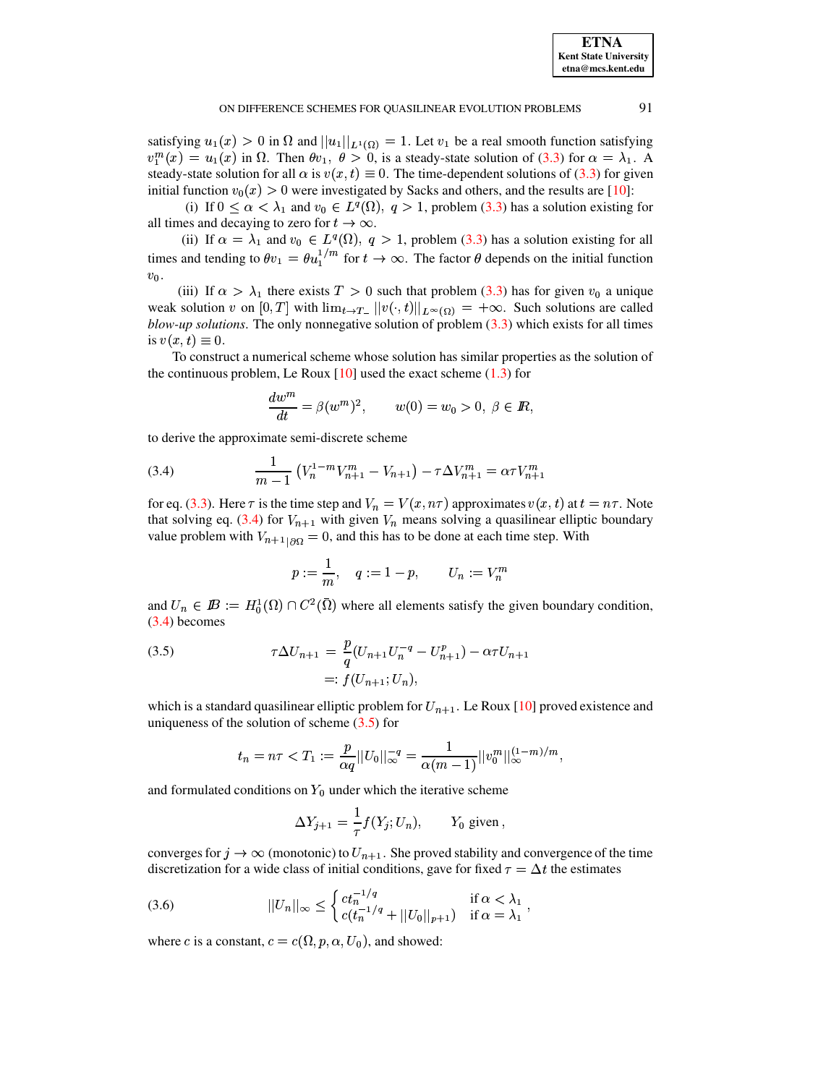satisfying  $u_1(x) > 0$  in  $\Omega$  and  $||u_1||_{L^1(\Omega)} = 1$ . Let  $v_1$  be a real smooth function satisfying  $v_1^m(x) = u_1(x)$  in  $\Omega$ . Then  $\theta v_1$ ,  $\theta > 0$ , is a steady-state solution of (3.3) for  $\alpha = \lambda_1$ . A steady-state solution for all  $\alpha$  is  $v(x, t) \equiv 0$ . The time-dependent solutions of (3.3) for given initial function  $v_0(x) > 0$  were investigated by Sacks and others, and the results are [10]:

(i) If  $0 \le \alpha < \lambda_1$  and  $v_0 \in L^q(\Omega)$ ,  $q > 1$ , problem (3.3) has a solution existing for all times and decaying to zero for  $t \to \infty$ .

(ii) If  $\alpha = \lambda_1$  and  $v_0 \in L^q(\Omega)$ ,  $q > 1$ , problem (3.3) has a solution existing for all times and tending to  $\theta v_1 = \theta u_1^{1/m}$  for  $t \to \infty$ . The factor  $\theta$  depends on the initial function  $v_0$ .

(iii) If  $\alpha > \lambda_1$  there exists  $T > 0$  such that problem (3.3) has for given  $v_0$  a unique weak solution v on  $[0, T]$  with  $\lim_{t\to T_-} ||v(\cdot, t)||_{L^{\infty}(\Omega)} = +\infty$ . Such solutions are called blow-up solutions. The only nonnegative solution of problem  $(3.3)$  which exists for all times is  $v(x,t) \equiv 0$ .

To construct a numerical scheme whose solution has similar properties as the solution of the continuous problem, Le Roux  $[10]$  used the exact scheme  $(1.3)$  for

$$
\frac{dw^m}{dt} = \beta(w^m)^2, \qquad w(0) = w_0 > 0, \ \beta \in \mathbb{R},
$$

to derive the approximate semi-discrete scheme

<span id="page-13-0"></span>(3.4) 
$$
\frac{1}{m-1} \left( V_n^{1-m} V_{n+1}^m - V_{n+1} \right) - \tau \Delta V_{n+1}^m = \alpha \tau V_{n+1}^m
$$

for eq. (3.3). Here  $\tau$  is the time step and  $V_n = V(x, n\tau)$  approximates  $v(x, t)$  at  $t = n\tau$ . Note that solving eq. (3.4) for  $V_{n+1}$  with given  $V_n$  means solving a quasilinear elliptic boundary value problem with  $V_{n+1}{}_{|\partial\Omega} = 0$ , and this has to be done at each time step. With

$$
p:=\frac{1}{m},\quad q:=1-p,\qquad U_n:=V_n^m
$$

and  $U_n \in I\!\!B := H_0^1(\Omega) \cap C^2(\overline{\Omega})$  where all elements satisfy the given boundary condition,  $(3.4)$  becomes

<span id="page-13-1"></span>(3.5) 
$$
\tau \Delta U_{n+1} = \frac{p}{q} (U_{n+1} U_n^{-q} - U_{n+1}^p) - \alpha \tau U_{n+1}
$$

$$
=: f(U_{n+1}; U_n),
$$

which is a standard quasilinear elliptic problem for  $U_{n+1}$ . Le Roux [10] proved existence and uniqueness of the solution of scheme  $(3.5)$  for

$$
t_n = n\tau < T_1 := \frac{p}{\alpha q} ||U_0||_{\infty}^{-q} = \frac{1}{\alpha (m-1)} ||v_0^m||_{\infty}^{(1-m)/m},
$$

and formulated conditions on  $Y_0$  under which the iterative scheme

$$
\Delta Y_{j+1} = \frac{1}{\tau} f(Y_j; U_n), \qquad Y_0 \text{ given}
$$

converges for  $j \to \infty$  (monotonic) to  $U_{n+1}$ . She proved stability and convergence of the time discretization for a wide class of initial conditions, gave for fixed  $\tau = \Delta t$  the estimates

<span id="page-13-2"></span>(3.6) 
$$
||U_n||_{\infty} \leq \begin{cases} ct_n^{-1/q} & \text{if } \alpha < \lambda_1 \\ c(t_n^{-1/q} + ||U_0||_{p+1}) & \text{if } \alpha = \lambda_1 \end{cases}
$$

where c is a constant,  $c = c(\Omega, p, \alpha, U_0)$ , and showed: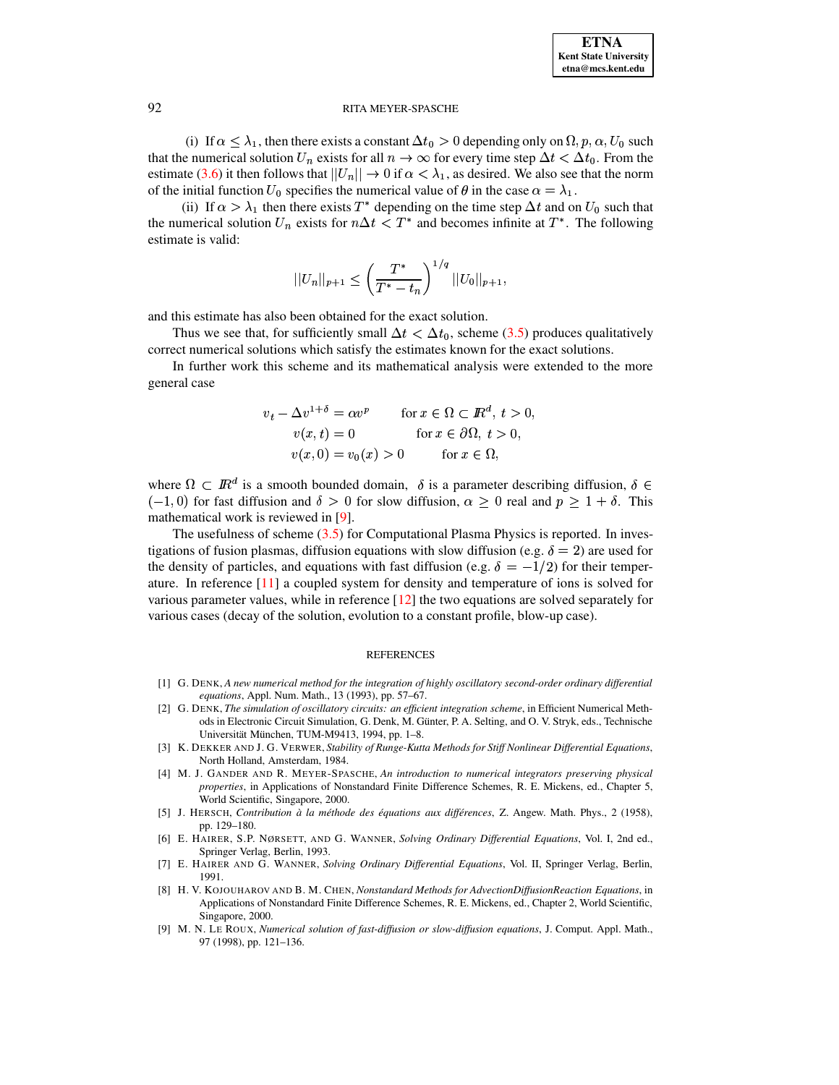(i) If  $\alpha \leq \lambda_1$ , then there exists a constant  $\Delta t_0 > 0$  depending only on  $\Omega$ ,  $p, \alpha, U_0$  such that the numerical solution  $U_n$  exists for all  $n \to \infty$  for every time step  $\Delta t < \Delta t_0$ . From the estimate [\(3.6\)](#page-13-2) it then follows that  $||U_n|| \to 0$  if  $\alpha < \lambda_1$ , as desired. We also see that the norm of the initial function  $U_0$  specifies the numerical value of  $\theta$  in the case  $\alpha = \lambda_1$ .

(ii) If  $\alpha > \lambda_1$  then there exists T<sup>\*</sup> depending on the time step  $\Delta t$  and on  $U_0$  such that the numerical solution  $U_n$  exists for  $n\Delta t < T^*$  and becomes infinite at  $T^*$ . The following estimate is valid:

$$
||U_n||_{p+1} \le \left(\frac{T^*}{T^*-t_n}\right)^{1/q} ||U_0||_{p+1},
$$

and this estimate has also been obtained for the exact solution.

Thus we see that, for sufficiently small  $\Delta t < \Delta t_0$ , scheme [\(3.5\)](#page-13-1) produces qualitatively correct numerical solutions which satisfy the estimates known for the exact solutions.

In further work this scheme and its mathematical analysis were extended to the more general case

$$
v_t - \Delta v^{1+\delta} = \alpha v^p \quad \text{for } x \in \Omega \subset \mathbb{R}^d, t > 0,
$$
  
\n
$$
v(x, t) = 0 \quad \text{for } x \in \partial\Omega, t > 0,
$$
  
\n
$$
v(x, 0) = v_0(x) > 0 \quad \text{for } x \in \Omega,
$$

where  $\Omega \subset \mathbb{R}^d$  is a smooth bounded domain,  $\delta$  is a parameter describing diffusion,  $\delta \in$  $(-1,0)$  for fast diffusion and  $\delta > 0$  for slow diffusion,  $\alpha \geq 0$  real and  $p \geq 1 + \delta$ . This mathematical work is reviewed in [\[9\]](#page-14-8).

The usefulness of scheme  $(3.5)$  for Computational Plasma Physics is reported. In investigations of fusion plasmas, diffusion equations with slow diffusion (e.g.  $\delta = 2$ ) are used for the density of particles, and equations with fast diffusion (e.g.  $\delta = -1/2$ ) for their temperature. In reference [\[11\]](#page-15-7) a coupled system for density and temperature of ions is solved for various parameter values, while in reference [\[12\]](#page-15-8) the two equations are solved separately for various cases (decay of the solution, evolution to a constant profile, blow-up case).

#### REFERENCES

- <span id="page-14-6"></span><span id="page-14-5"></span>[1] G. DENK, *A new numerical method for the integration of highly oscillatory second-order ordinary differential equations*, Appl. Num. Math., 13 (1993), pp. 57–67.
- [2] G. DENK, *The simulation of oscillatory circuits: an efficient integration scheme*, in Efficient Numerical Methods in Electronic Circuit Simulation, G. Denk, M. Günter, P. A. Selting, and O. V. Stryk, eds., Technische Universität München, TUM-M9413, 1994, pp. 1-8.
- <span id="page-14-3"></span>[3] K. DEKKER AND J. G. VERWER, *Stability of Runge-Kutta Methods for Stiff Nonlinear Differential Equations*, North Holland, Amsterdam, 1984.
- <span id="page-14-2"></span>[4] M. J. GANDER AND R. MEYER-SPASCHE, *An introduction to numerical integrators preserving physical properties*, in Applications of Nonstandard Finite Difference Schemes, R. E. Mickens, ed., Chapter 5, World Scientific, Singapore, 2000.
- <span id="page-14-7"></span>[5] J. HERSCH, *Contribution a` la methode ´ des equations ´ aux differ´ ences*, Z. Angew. Math. Phys., 2 (1958), pp. 129–180.
- <span id="page-14-4"></span>[6] E. HAIRER, S.P. NØRSETT, AND G. WANNER, *Solving Ordinary Differential Equations*, Vol. I, 2nd ed., Springer Verlag, Berlin, 1993.
- <span id="page-14-0"></span>[7] E. HAIRER AND G. WANNER, *Solving Ordinary Differential Equations*, Vol. II, Springer Verlag, Berlin, 1991.
- <span id="page-14-1"></span>[8] H. V. KOJOUHAROV AND B. M. CHEN, *Nonstandard Methods for AdvectionDiffusionReaction Equations*, in Applications of Nonstandard Finite Difference Schemes, R. E. Mickens, ed., Chapter 2, World Scientific, Singapore, 2000.
- <span id="page-14-8"></span>[9] M. N. LE ROUX, *Numerical solution of fast-diffusion or slow-diffusion equations*, J. Comput. Appl. Math., 97 (1998), pp. 121–136.